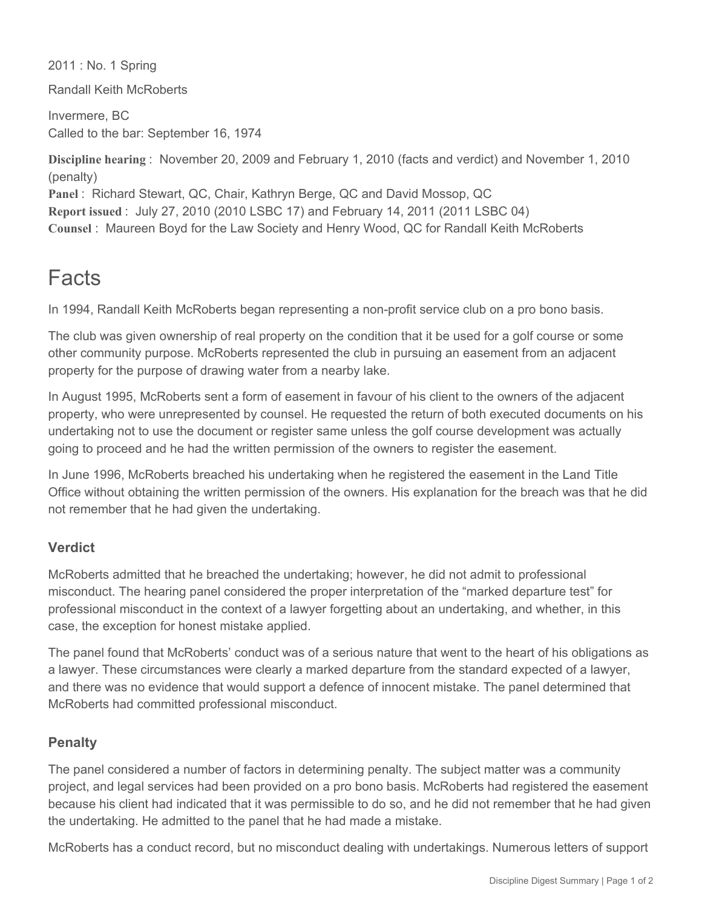2011 : No. 1 Spring

Randall Keith McRoberts

Invermere, BC Called to the bar: September 16, 1974

**Discipline hearing** : November 20, 2009 and February 1, 2010 (facts and verdict) and November 1, 2010 (penalty) **Panel** : Richard Stewart, QC, Chair, Kathryn Berge, QC and David Mossop, QC **Report issued** : July 27, 2010 (2010 LSBC 17) and February 14, 2011 (2011 LSBC 04) **Counsel** : Maureen Boyd for the Law Society and Henry Wood, QC for Randall Keith McRoberts

## Facts

In 1994, Randall Keith McRoberts began representing a non-profit service club on a pro bono basis.

The club was given ownership of real property on the condition that it be used for a golf course or some other community purpose. McRoberts represented the club in pursuing an easement from an adjacent property for the purpose of drawing water from a nearby lake.

In August 1995, McRoberts sent a form of easement in favour of his client to the owners of the adjacent property, who were unrepresented by counsel. He requested the return of both executed documents on his undertaking not to use the document or register same unless the golf course development was actually going to proceed and he had the written permission of the owners to register the easement.

In June 1996, McRoberts breached his undertaking when he registered the easement in the Land Title Office without obtaining the written permission of the owners. His explanation for the breach was that he did not remember that he had given the undertaking.

## **Verdict**

McRoberts admitted that he breached the undertaking; however, he did not admit to professional misconduct. The hearing panel considered the proper interpretation of the "marked departure test" for professional misconduct in the context of a lawyer forgetting about an undertaking, and whether, in this case, the exception for honest mistake applied.

The panel found that McRoberts' conduct was of a serious nature that went to the heart of his obligations as a lawyer. These circumstances were clearly a marked departure from the standard expected of a lawyer, and there was no evidence that would support a defence of innocent mistake. The panel determined that McRoberts had committed professional misconduct.

## **Penalty**

The panel considered a number of factors in determining penalty. The subject matter was a community project, and legal services had been provided on a pro bono basis. McRoberts had registered the easement because his client had indicated that it was permissible to do so, and he did not remember that he had given the undertaking. He admitted to the panel that he had made a mistake.

McRoberts has a conduct record, but no misconduct dealing with undertakings. Numerous letters of support